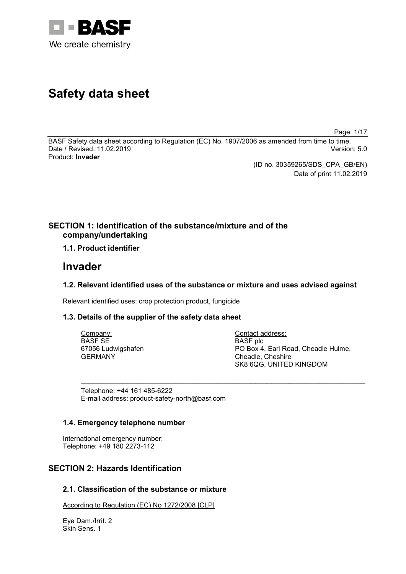

# **Safety data sheet**

Page: 1/17

BASF Safety data sheet according to Regulation (EC) No. 1907/2006 as amended from time to time. Date / Revised: 11.02.2019 Product: **Invader**

(ID no. 30359265/SDS\_CPA\_GB/EN)

Date of print 11.02.2019

# **SECTION 1: Identification of the substance/mixture and of the company/undertaking**

# **1.1. Product identifier**

# **Invader**

# **1.2. Relevant identified uses of the substance or mixture and uses advised against**

Relevant identified uses: crop protection product, fungicide

# **1.3. Details of the supplier of the safety data sheet**

| Company:           | Contact address:                    |
|--------------------|-------------------------------------|
| BASF SE            | BASF plc                            |
| 67056 Ludwigshafen | PO Box 4, Earl Road, Cheadle Hulme, |
| GERMANY            | Cheadle, Cheshire                   |
|                    | SK8 6QG, UNITED KINGDOM             |

\_\_\_\_\_\_\_\_\_\_\_\_\_\_\_\_\_\_\_\_\_\_\_\_\_\_\_\_\_\_\_\_\_\_\_\_\_\_\_\_\_\_\_\_\_\_\_\_\_\_\_\_\_\_\_\_\_\_\_\_\_\_\_\_\_\_\_\_\_\_\_\_\_\_\_

Telephone: +44 161 485-6222 E-mail address: product-safety-north@basf.com

## **1.4. Emergency telephone number**

International emergency number: Telephone: +49 180 2273-112

# **SECTION 2: Hazards Identification**

# **2.1. Classification of the substance or mixture**

According to Regulation (EC) No 1272/2008 [CLP]

Eye Dam./Irrit. 2 Skin Sens. 1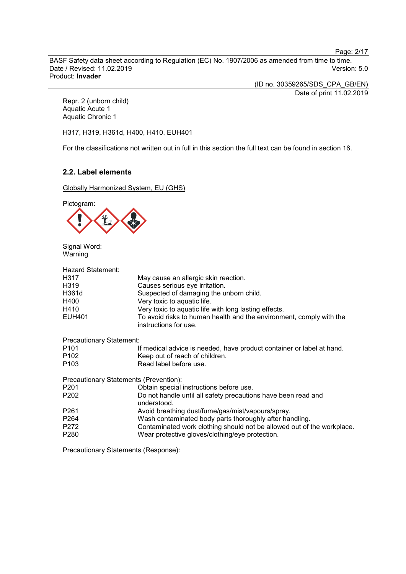Page: 2/17

BASF Safety data sheet according to Regulation (EC) No. 1907/2006 as amended from time to time. Date / Revised: 11.02.2019 Product: **Invader**

(ID no. 30359265/SDS\_CPA\_GB/EN)

Date of print 11.02.2019

Repr. 2 (unborn child) Aquatic Acute 1 Aquatic Chronic 1

H317, H319, H361d, H400, H410, EUH401

For the classifications not written out in full in this section the full text can be found in section 16.

# **2.2. Label elements**

Globally Harmonized System, EU (GHS)

Pictogram:



Signal Word: Warning

| <b>Hazard Statement:</b><br>H317<br>H319<br>H361d<br>H400<br>H410 | May cause an allergic skin reaction.<br>Causes serious eye irritation.<br>Suspected of damaging the unborn child.<br>Very toxic to aquatic life.<br>Very toxic to aquatic life with long lasting effects. |
|-------------------------------------------------------------------|-----------------------------------------------------------------------------------------------------------------------------------------------------------------------------------------------------------|
| <b>EUH401</b>                                                     | To avoid risks to human health and the environment, comply with the<br>instructions for use.                                                                                                              |
| <b>Precautionary Statement:</b>                                   |                                                                                                                                                                                                           |
| P <sub>101</sub>                                                  | If medical advice is needed, have product container or label at hand.                                                                                                                                     |
| P <sub>102</sub>                                                  | Keep out of reach of children.                                                                                                                                                                            |
| P <sub>103</sub>                                                  | Read label before use.                                                                                                                                                                                    |
| Precautionary Statements (Prevention):                            |                                                                                                                                                                                                           |
| P <sub>201</sub>                                                  | Obtain special instructions before use.                                                                                                                                                                   |
| P <sub>202</sub>                                                  | Do not handle until all safety precautions have been read and<br>understood.                                                                                                                              |
| P <sub>261</sub>                                                  | Avoid breathing dust/fume/gas/mist/vapours/spray.                                                                                                                                                         |
| P <sub>264</sub>                                                  | Wash contaminated body parts thoroughly after handling.                                                                                                                                                   |
| P272                                                              | Contaminated work clothing should not be allowed out of the workplac                                                                                                                                      |

P280 Wear protective gloves/clothing/eye protection.

Contaminated work clothing should not be allowed out of the workplace.

Precautionary Statements (Response):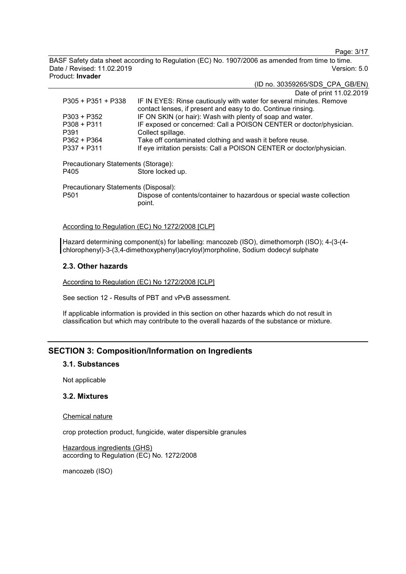Page: 3/17

BASF Safety data sheet according to Regulation (EC) No. 1907/2006 as amended from time to time. Date / Revised: 11.02.2019 Version: 5.0 Product: **Invader**

(ID no. 30359265/SDS\_CPA\_GB/EN)

|                                                          | Date of print 11.02.2019                                                                                                            |
|----------------------------------------------------------|-------------------------------------------------------------------------------------------------------------------------------------|
| $P305 + P351 + P338$                                     | IF IN EYES: Rinse cautiously with water for several minutes. Remove<br>contact lenses, if present and easy to do. Continue rinsing. |
| $P303 + P352$                                            | IF ON SKIN (or hair): Wash with plenty of soap and water.                                                                           |
| $P308 + P311$                                            | IF exposed or concerned: Call a POISON CENTER or doctor/physician.                                                                  |
| P391                                                     | Collect spillage.                                                                                                                   |
| P362 + P364                                              | Take off contaminated clothing and wash it before reuse.                                                                            |
| $P337 + P311$                                            | If eye irritation persists: Call a POISON CENTER or doctor/physician.                                                               |
| Precautionary Statements (Storage):                      |                                                                                                                                     |
| P405                                                     | Store locked up.                                                                                                                    |
| Precautionary Statements (Disposal):<br>P <sub>501</sub> | Dispose of contents/container to hazardous or special waste collection<br>point.                                                    |
|                                                          |                                                                                                                                     |

According to Regulation (EC) No 1272/2008 [CLP]

Hazard determining component(s) for labelling: mancozeb (ISO), dimethomorph (ISO); 4-(3-(4 chlorophenyl)-3-(3,4-dimethoxyphenyl)acryloyl)morpholine, Sodium dodecyl sulphate

## **2.3. Other hazards**

According to Regulation (EC) No 1272/2008 [CLP]

See section 12 - Results of PBT and vPvB assessment.

If applicable information is provided in this section on other hazards which do not result in classification but which may contribute to the overall hazards of the substance or mixture.

# **SECTION 3: Composition/Information on Ingredients**

#### **3.1. Substances**

Not applicable

## **3.2. Mixtures**

#### Chemical nature

crop protection product, fungicide, water dispersible granules

Hazardous ingredients (GHS) according to Regulation (EC) No. 1272/2008

mancozeb (ISO)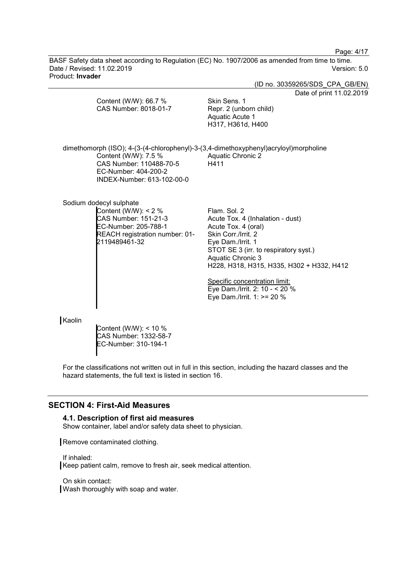Page: 4/17

BASF Safety data sheet according to Regulation (EC) No. 1907/2006 as amended from time to time. Date / Revised: 11.02.2019 Version: 5.0 Product: **Invader**

(ID no. 30359265/SDS\_CPA\_GB/EN) Date of print 11.02.2019 Content (W/W): 66.7 % CAS Number: 8018-01-7 Skin Sens. 1 Repr. 2 (unborn child) Aquatic Acute 1 H317, H361d, H400 dimethomorph (ISO); 4-(3-(4-chlorophenyl)-3-(3,4-dimethoxyphenyl)acryloyl)morpholine Content (W/W): 7.5 % CAS Number: 110488-70-5 EC-Number: 404-200-2 INDEX-Number: 613-102-00-0 Aquatic Chronic 2 H411 Sodium dodecyl sulphate Content (W/W): < 2 % CAS Number: 151-21-3 EC-Number: 205-788-1 REACH registration number: 01- 2119489461-32 Flam. Sol. 2 Acute Tox. 4 (Inhalation - dust) Acute Tox. 4 (oral) Skin Corr./Irrit. 2 Eye Dam./Irrit. 1 STOT SE 3 (irr. to respiratory syst.) Aquatic Chronic 3 H228, H318, H315, H335, H302 + H332, H412 Specific concentration limit: Eye Dam./Irrit. 2: 10 - < 20 % Eye Dam./Irrit. 1: >= 20 % Kaolin Content (W/W): < 10 % CAS Number: 1332-58-7

For the classifications not written out in full in this section, including the hazard classes and the hazard statements, the full text is listed in section 16.

## **SECTION 4: First-Aid Measures**

#### **4.1. Description of first aid measures**

EC-Number: 310-194-1

Show container, label and/or safety data sheet to physician.

Remove contaminated clothing.

If inhaled: Keep patient calm, remove to fresh air, seek medical attention.

On skin contact: Wash thoroughly with soap and water.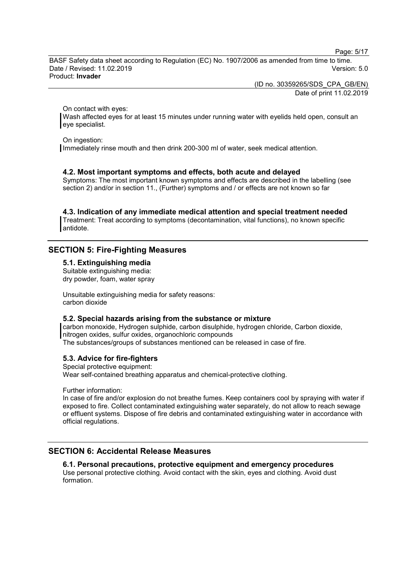Page: 5/17

BASF Safety data sheet according to Regulation (EC) No. 1907/2006 as amended from time to time. Date / Revised: 11.02.2019 Version: 5.0 Product: **Invader**

(ID no. 30359265/SDS\_CPA\_GB/EN)

Date of print 11.02.2019

On contact with eyes:

Wash affected eyes for at least 15 minutes under running water with eyelids held open, consult an eye specialist.

On ingestion:

Immediately rinse mouth and then drink 200-300 ml of water, seek medical attention.

## **4.2. Most important symptoms and effects, both acute and delayed**

Symptoms: The most important known symptoms and effects are described in the labelling (see section 2) and/or in section 11., (Further) symptoms and / or effects are not known so far

**4.3. Indication of any immediate medical attention and special treatment needed**

Treatment: Treat according to symptoms (decontamination, vital functions), no known specific antidote.

## **SECTION 5: Fire-Fighting Measures**

**5.1. Extinguishing media**

Suitable extinguishing media: dry powder, foam, water spray

Unsuitable extinguishing media for safety reasons: carbon dioxide

#### **5.2. Special hazards arising from the substance or mixture**

carbon monoxide, Hydrogen sulphide, carbon disulphide, hydrogen chloride, Carbon dioxide, nitrogen oxides, sulfur oxides, organochloric compounds

The substances/groups of substances mentioned can be released in case of fire.

#### **5.3. Advice for fire-fighters**

Special protective equipment: Wear self-contained breathing apparatus and chemical-protective clothing.

Further information:

In case of fire and/or explosion do not breathe fumes. Keep containers cool by spraying with water if exposed to fire. Collect contaminated extinguishing water separately, do not allow to reach sewage or effluent systems. Dispose of fire debris and contaminated extinguishing water in accordance with official regulations.

# **SECTION 6: Accidental Release Measures**

**6.1. Personal precautions, protective equipment and emergency procedures** Use personal protective clothing. Avoid contact with the skin, eyes and clothing. Avoid dust formation.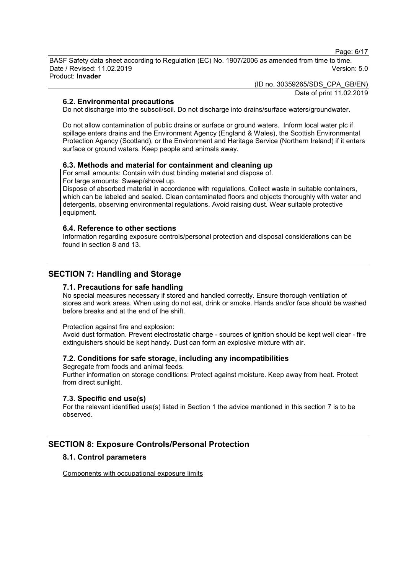Page: 6/17

BASF Safety data sheet according to Regulation (EC) No. 1907/2006 as amended from time to time. Date / Revised: 11.02.2019 Version: 5.0 Product: **Invader**

> (ID no. 30359265/SDS\_CPA\_GB/EN) Date of print 11.02.2019

## **6.2. Environmental precautions**

Do not discharge into the subsoil/soil. Do not discharge into drains/surface waters/groundwater.

Do not allow contamination of public drains or surface or ground waters. Inform local water plc if spillage enters drains and the Environment Agency (England & Wales), the Scottish Environmental Protection Agency (Scotland), or the Environment and Heritage Service (Northern Ireland) if it enters surface or ground waters. Keep people and animals away.

## **6.3. Methods and material for containment and cleaning up**

For small amounts: Contain with dust binding material and dispose of. For large amounts: Sweep/shovel up.

Dispose of absorbed material in accordance with regulations. Collect waste in suitable containers, which can be labeled and sealed. Clean contaminated floors and objects thoroughly with water and detergents, observing environmental regulations. Avoid raising dust. Wear suitable protective equipment.

#### **6.4. Reference to other sections**

Information regarding exposure controls/personal protection and disposal considerations can be found in section 8 and 13.

# **SECTION 7: Handling and Storage**

## **7.1. Precautions for safe handling**

No special measures necessary if stored and handled correctly. Ensure thorough ventilation of stores and work areas. When using do not eat, drink or smoke. Hands and/or face should be washed before breaks and at the end of the shift.

#### Protection against fire and explosion:

Avoid dust formation. Prevent electrostatic charge - sources of ignition should be kept well clear - fire extinguishers should be kept handy. Dust can form an explosive mixture with air.

## **7.2. Conditions for safe storage, including any incompatibilities**

Segregate from foods and animal feeds.

Further information on storage conditions: Protect against moisture. Keep away from heat. Protect from direct sunlight.

## **7.3. Specific end use(s)**

For the relevant identified use(s) listed in Section 1 the advice mentioned in this section 7 is to be observed.

# **SECTION 8: Exposure Controls/Personal Protection**

## **8.1. Control parameters**

Components with occupational exposure limits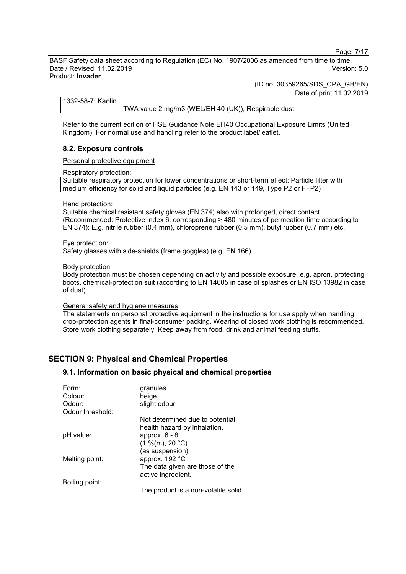Page: 7/17

BASF Safety data sheet according to Regulation (EC) No. 1907/2006 as amended from time to time. Date / Revised: 11.02.2019 Version: 5.0 Product: **Invader**

(ID no. 30359265/SDS\_CPA\_GB/EN)

Date of print 11.02.2019

1332-58-7: Kaolin

TWA value 2 mg/m3 (WEL/EH 40 (UK)), Respirable dust

Refer to the current edition of HSE Guidance Note EH40 Occupational Exposure Limits (United Kingdom). For normal use and handling refer to the product label/leaflet.

#### **8.2. Exposure controls**

Personal protective equipment

Respiratory protection:

Suitable respiratory protection for lower concentrations or short-term effect: Particle filter with medium efficiency for solid and liquid particles (e.g. EN 143 or 149, Type P2 or FFP2)

Hand protection:

Suitable chemical resistant safety gloves (EN 374) also with prolonged, direct contact (Recommended: Protective index 6, corresponding > 480 minutes of permeation time according to EN 374): E.g. nitrile rubber (0.4 mm), chloroprene rubber (0.5 mm), butyl rubber (0.7 mm) etc.

Eye protection: Safety glasses with side-shields (frame goggles) (e.g. EN 166)

Body protection:

Body protection must be chosen depending on activity and possible exposure, e.g. apron, protecting boots, chemical-protection suit (according to EN 14605 in case of splashes or EN ISO 13982 in case of dust).

General safety and hygiene measures

The statements on personal protective equipment in the instructions for use apply when handling crop-protection agents in final-consumer packing. Wearing of closed work clothing is recommended. Store work clothing separately. Keep away from food, drink and animal feeding stuffs.

# **SECTION 9: Physical and Chemical Properties**

#### **9.1. Information on basic physical and chemical properties**

| granules                             |
|--------------------------------------|
| beige                                |
| slight odour                         |
|                                      |
| Not determined due to potential      |
| health hazard by inhalation.         |
| approx. $6 - 8$                      |
| (1 %(m), 20 °C)                      |
| (as suspension)                      |
| approx. 192 °C                       |
| The data given are those of the      |
| active ingredient.                   |
|                                      |
| The product is a non-volatile solid. |
|                                      |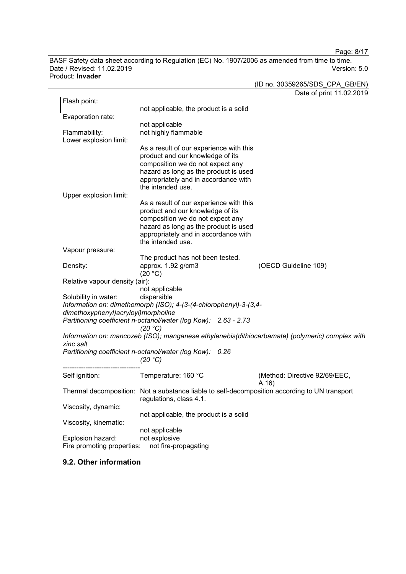Page: 8/17

BASF Safety data sheet according to Regulation (EC) No. 1907/2006 as amended from time to time.<br>Date / Revised: 11.02.2019 Version: 5.0 Date / Revised: 11.02.2019 Product: **Invader**

|                                       |                                                                             | (ID no. 30359265/SDS CPA GB/EN)                                                                 |
|---------------------------------------|-----------------------------------------------------------------------------|-------------------------------------------------------------------------------------------------|
|                                       |                                                                             | Date of print 11.02.2019                                                                        |
| Flash point:                          |                                                                             |                                                                                                 |
| Evaporation rate:                     | not applicable, the product is a solid                                      |                                                                                                 |
|                                       | not applicable                                                              |                                                                                                 |
| Flammability:                         | not highly flammable                                                        |                                                                                                 |
| Lower explosion limit:                |                                                                             |                                                                                                 |
|                                       | As a result of our experience with this                                     |                                                                                                 |
|                                       | product and our knowledge of its                                            |                                                                                                 |
|                                       | composition we do not expect any                                            |                                                                                                 |
|                                       | hazard as long as the product is used                                       |                                                                                                 |
|                                       | appropriately and in accordance with                                        |                                                                                                 |
|                                       | the intended use.                                                           |                                                                                                 |
| Upper explosion limit:                |                                                                             |                                                                                                 |
|                                       | As a result of our experience with this<br>product and our knowledge of its |                                                                                                 |
|                                       | composition we do not expect any                                            |                                                                                                 |
|                                       | hazard as long as the product is used                                       |                                                                                                 |
|                                       | appropriately and in accordance with                                        |                                                                                                 |
|                                       | the intended use.                                                           |                                                                                                 |
| Vapour pressure:                      |                                                                             |                                                                                                 |
|                                       | The product has not been tested.                                            |                                                                                                 |
| Density:                              | approx. 1.92 g/cm3                                                          | (OECD Guideline 109)                                                                            |
|                                       | (20 °C)                                                                     |                                                                                                 |
| Relative vapour density (air):        |                                                                             |                                                                                                 |
| Solubility in water:                  | not applicable<br>dispersible                                               |                                                                                                 |
|                                       | Information on: dimethomorph (ISO); 4-(3-(4-chlorophenyl)-3-(3,4-           |                                                                                                 |
| dimethoxyphenyl) acryloyl) morpholine |                                                                             |                                                                                                 |
|                                       | Partitioning coefficient n-octanol/water (log Kow): 2.63 - 2.73             |                                                                                                 |
|                                       | (20 °C)                                                                     |                                                                                                 |
|                                       |                                                                             | Information on: mancozeb (ISO); manganese ethylenebis(dithiocarbamate) (polymeric) complex with |
| zinc salt                             |                                                                             |                                                                                                 |
|                                       | Partitioning coefficient n-octanol/water (log Kow):<br>0.26                 |                                                                                                 |
|                                       | (20 °C)                                                                     |                                                                                                 |
| Self ignition:                        | Temperature: 160 °C                                                         | (Method: Directive 92/69/EEC,                                                                   |
|                                       |                                                                             | (A.16)                                                                                          |
| Thermal decomposition:                | Not a substance liable to self-decomposition according to UN transport      |                                                                                                 |
|                                       | regulations, class 4.1.                                                     |                                                                                                 |
| Viscosity, dynamic:                   |                                                                             |                                                                                                 |
|                                       | not applicable, the product is a solid                                      |                                                                                                 |
| Viscosity, kinematic:                 |                                                                             |                                                                                                 |
|                                       | not applicable                                                              |                                                                                                 |
| Explosion hazard:                     | not explosive                                                               |                                                                                                 |
| Fire promoting properties:            | not fire-propagating                                                        |                                                                                                 |

# **9.2. Other information**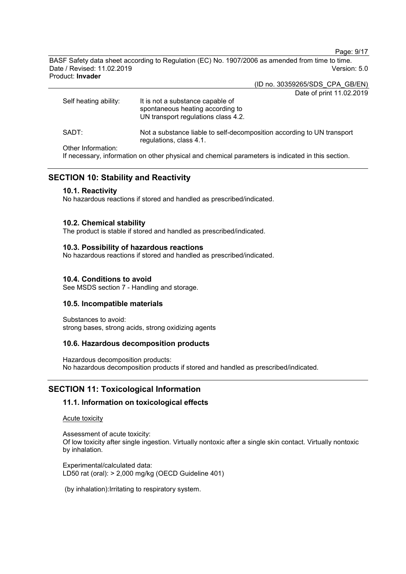Page: 9/17

BASF Safety data sheet according to Regulation (EC) No. 1907/2006 as amended from time to time. Date / Revised: 11.02.2019 Version: 5.0 Product: **Invader**

(ID no. 30359265/SDS\_CPA\_GB/EN)

Date of print 11.02.2019

| Self heating ability: | It is not a substance capable of<br>spontaneous heating according to<br>UN transport regulations class 4.2. |
|-----------------------|-------------------------------------------------------------------------------------------------------------|
| SADT:                 | Not a substance liable to self-decomposition according to UN transport<br>regulations, class 4.1.           |
| Other Information:    |                                                                                                             |

If necessary, information on other physical and chemical parameters is indicated in this section.

# **SECTION 10: Stability and Reactivity**

## **10.1. Reactivity**

No hazardous reactions if stored and handled as prescribed/indicated.

## **10.2. Chemical stability**

The product is stable if stored and handled as prescribed/indicated.

#### **10.3. Possibility of hazardous reactions**

No hazardous reactions if stored and handled as prescribed/indicated.

## **10.4. Conditions to avoid**

See MSDS section 7 - Handling and storage.

## **10.5. Incompatible materials**

Substances to avoid: strong bases, strong acids, strong oxidizing agents

## **10.6. Hazardous decomposition products**

Hazardous decomposition products: No hazardous decomposition products if stored and handled as prescribed/indicated.

## **SECTION 11: Toxicological Information**

## **11.1. Information on toxicological effects**

Acute toxicity

Assessment of acute toxicity: Of low toxicity after single ingestion. Virtually nontoxic after a single skin contact. Virtually nontoxic by inhalation.

Experimental/calculated data: LD50 rat (oral): > 2,000 mg/kg (OECD Guideline 401)

(by inhalation):Irritating to respiratory system.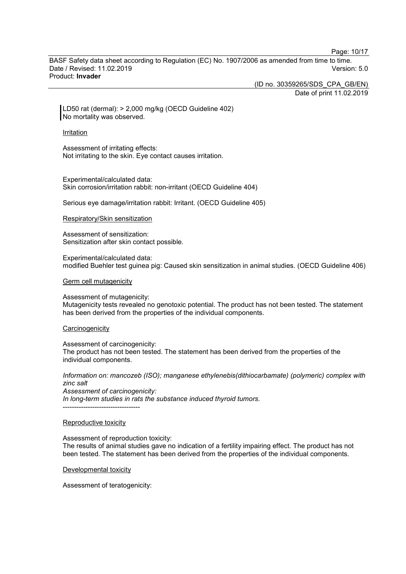Page: 10/17

BASF Safety data sheet according to Regulation (EC) No. 1907/2006 as amended from time to time. Date / Revised: 11.02.2019 Version: 5.0 Product: **Invader**

(ID no. 30359265/SDS\_CPA\_GB/EN)

Date of print 11.02.2019

LD50 rat (dermal): > 2,000 mg/kg (OECD Guideline 402) No mortality was observed.

#### Irritation

Assessment of irritating effects: Not irritating to the skin. Eye contact causes irritation.

Experimental/calculated data: Skin corrosion/irritation rabbit: non-irritant (OECD Guideline 404)

Serious eye damage/irritation rabbit: Irritant. (OECD Guideline 405)

Respiratory/Skin sensitization

Assessment of sensitization: Sensitization after skin contact possible.

Experimental/calculated data: modified Buehler test guinea pig: Caused skin sensitization in animal studies. (OECD Guideline 406)

Germ cell mutagenicity

Assessment of mutagenicity:

Mutagenicity tests revealed no genotoxic potential. The product has not been tested. The statement has been derived from the properties of the individual components.

#### **Carcinogenicity**

Assessment of carcinogenicity: The product has not been tested. The statement has been derived from the properties of the individual components.

*Information on: mancozeb (ISO); manganese ethylenebis(dithiocarbamate) (polymeric) complex with zinc salt Assessment of carcinogenicity: In long-term studies in rats the substance induced thyroid tumors.* ----------------------------------

#### Reproductive toxicity

Assessment of reproduction toxicity:

The results of animal studies gave no indication of a fertility impairing effect. The product has not been tested. The statement has been derived from the properties of the individual components.

Developmental toxicity

Assessment of teratogenicity: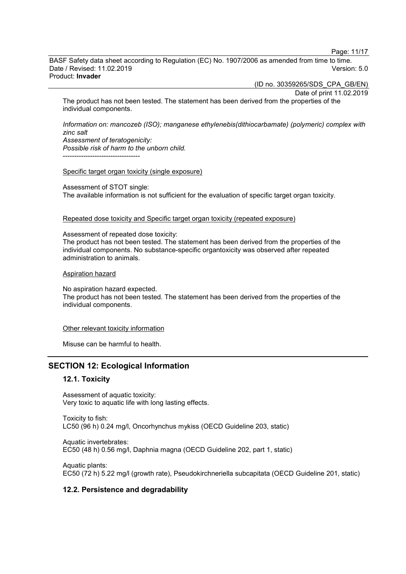Page: 11/17

BASF Safety data sheet according to Regulation (EC) No. 1907/2006 as amended from time to time. Date / Revised: 11.02.2019 Version: 5.0 Product: **Invader**

(ID no. 30359265/SDS\_CPA\_GB/EN)

Date of print 11.02.2019 The product has not been tested. The statement has been derived from the properties of the individual components.

*Information on: mancozeb (ISO); manganese ethylenebis(dithiocarbamate) (polymeric) complex with zinc salt Assessment of teratogenicity: Possible risk of harm to the unborn child.* ----------------------------------

#### Specific target organ toxicity (single exposure)

Assessment of STOT single: The available information is not sufficient for the evaluation of specific target organ toxicity.

Repeated dose toxicity and Specific target organ toxicity (repeated exposure)

Assessment of repeated dose toxicity: The product has not been tested. The statement has been derived from the properties of the individual components. No substance-specific organtoxicity was observed after repeated administration to animals.

#### Aspiration hazard

No aspiration hazard expected. The product has not been tested. The statement has been derived from the properties of the individual components.

Other relevant toxicity information

Misuse can be harmful to health.

# **SECTION 12: Ecological Information**

## **12.1. Toxicity**

Assessment of aquatic toxicity: Very toxic to aquatic life with long lasting effects.

Toxicity to fish: LC50 (96 h) 0.24 mg/l, Oncorhynchus mykiss (OECD Guideline 203, static)

Aquatic invertebrates: EC50 (48 h) 0.56 mg/l, Daphnia magna (OECD Guideline 202, part 1, static)

Aquatic plants: EC50 (72 h) 5.22 mg/l (growth rate), Pseudokirchneriella subcapitata (OECD Guideline 201, static)

## **12.2. Persistence and degradability**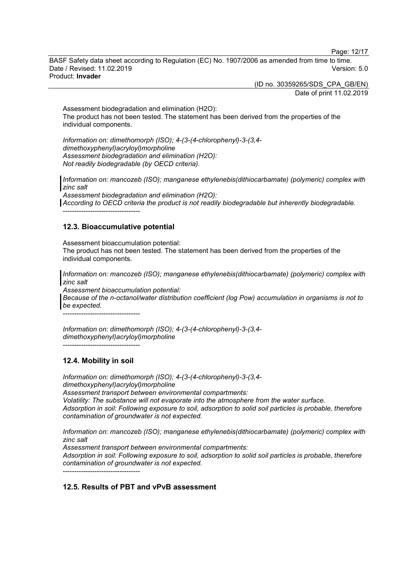Page: 12/17

BASF Safety data sheet according to Regulation (EC) No. 1907/2006 as amended from time to time. Date / Revised: 11.02.2019 Version: 5.0 Product: **Invader**

> (ID no. 30359265/SDS\_CPA\_GB/EN) Date of print 11.02.2019

Assessment biodegradation and elimination (H2O): The product has not been tested. The statement has been derived from the properties of the individual components.

*Information on: dimethomorph (ISO); 4-(3-(4-chlorophenyl)-3-(3,4 dimethoxyphenyl)acryloyl)morpholine Assessment biodegradation and elimination (H2O): Not readily biodegradable (by OECD criteria).*

*Information on: mancozeb (ISO); manganese ethylenebis(dithiocarbamate) (polymeric) complex with zinc salt*

*Assessment biodegradation and elimination (H2O): According to OECD criteria the product is not readily biodegradable but inherently biodegradable.* ----------------------------------

## **12.3. Bioaccumulative potential**

Assessment bioaccumulation potential: The product has not been tested. The statement has been derived from the properties of the individual components.

*Information on: mancozeb (ISO); manganese ethylenebis(dithiocarbamate) (polymeric) complex with zinc salt*

*Assessment bioaccumulation potential:*

*Because of the n-octanol/water distribution coefficient (log Pow) accumulation in organisms is not to be expected.*

----------------------------------

*Information on: dimethomorph (ISO); 4-(3-(4-chlorophenyl)-3-(3,4 dimethoxyphenyl)acryloyl)morpholine* ----------------------------------

# **12.4. Mobility in soil**

*Information on: dimethomorph (ISO); 4-(3-(4-chlorophenyl)-3-(3,4 dimethoxyphenyl)acryloyl)morpholine Assessment transport between environmental compartments: Volatility: The substance will not evaporate into the atmosphere from the water surface. Adsorption in soil: Following exposure to soil, adsorption to solid soil particles is probable, therefore contamination of groundwater is not expected.*

*Information on: mancozeb (ISO); manganese ethylenebis(dithiocarbamate) (polymeric) complex with zinc salt*

*Assessment transport between environmental compartments:*

*Adsorption in soil: Following exposure to soil, adsorption to solid soil particles is probable, therefore contamination of groundwater is not expected.* ----------------------------------

**12.5. Results of PBT and vPvB assessment**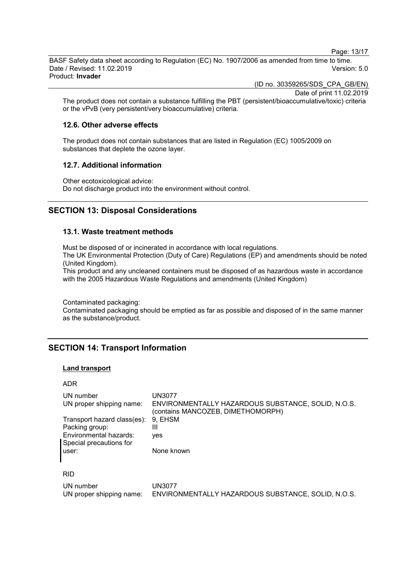Page: 13/17

BASF Safety data sheet according to Regulation (EC) No. 1907/2006 as amended from time to time. Date / Revised: 11.02.2019 Version: 5.0 Product: **Invader**

(ID no. 30359265/SDS\_CPA\_GB/EN)

Date of print 11.02.2019

The product does not contain a substance fulfilling the PBT (persistent/bioaccumulative/toxic) criteria or the vPvB (very persistent/very bioaccumulative) criteria.

#### **12.6. Other adverse effects**

The product does not contain substances that are listed in Regulation (EC) 1005/2009 on substances that deplete the ozone layer.

#### **12.7. Additional information**

Other ecotoxicological advice: Do not discharge product into the environment without control.

# **SECTION 13: Disposal Considerations**

## **13.1. Waste treatment methods**

Must be disposed of or incinerated in accordance with local regulations.

The UK Environmental Protection (Duty of Care) Regulations (EP) and amendments should be noted (United Kingdom).

This product and any uncleaned containers must be disposed of as hazardous waste in accordance with the 2005 Hazardous Waste Regulations and amendments (United Kingdom)

Contaminated packaging:

Contaminated packaging should be emptied as far as possible and disposed of in the same manner as the substance/product.

# **SECTION 14: Transport Information**

#### **Land transport**

#### ADR

| UN number<br>UN proper shipping name:<br>Transport hazard class(es):<br>Packing group:<br>Environmental hazards: | UN3077<br>ENVIRONMENTALLY HAZARDOUS SUBSTANCE, SOLID, N.O.S.<br>(contains MANCOZEB, DIMETHOMORPH)<br>9. EHSM<br>Ш |
|------------------------------------------------------------------------------------------------------------------|-------------------------------------------------------------------------------------------------------------------|
| Special precautions for<br>user:                                                                                 | ves<br>None known                                                                                                 |
| <b>RID</b>                                                                                                       |                                                                                                                   |
|                                                                                                                  |                                                                                                                   |
| UN number                                                                                                        | UN3077                                                                                                            |

UN proper shipping name: ENVIRONMENTALLY HAZARDOUS SUBSTANCE, SOLID, N.O.S.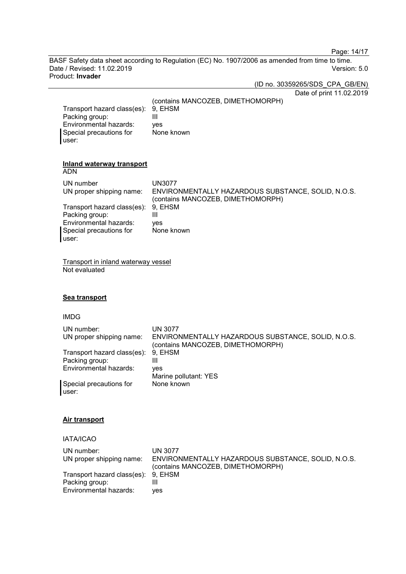Page: 14/17

BASF Safety data sheet according to Regulation (EC) No. 1907/2006 as amended from time to time. Date / Revised: 11.02.2019 Version: 5.0 Product: **Invader**

(ID no. 30359265/SDS\_CPA\_GB/EN)

| Transport hazard class(es):<br>Packing group:<br>Environmental hazards:<br>Special precautions for<br>user:                                                                                                                                                           | Date of print 11.02.2019<br>(contains MANCOZEB, DIMETHOMORPH)<br>9, EHSM<br>$\mathbf{III}$<br>yes<br>None known                                                           |
|-----------------------------------------------------------------------------------------------------------------------------------------------------------------------------------------------------------------------------------------------------------------------|---------------------------------------------------------------------------------------------------------------------------------------------------------------------------|
| <b>Inland waterway transport</b><br><b>ADN</b><br>UN number<br>UN proper shipping name:<br>Transport hazard class(es):<br>Packing group:<br>Environmental hazards:<br>Special precautions for<br>user:<br><b>Transport in inland waterway vessel</b><br>Not evaluated | <b>UN3077</b><br>ENVIRONMENTALLY HAZARDOUS SUBSTANCE, SOLID, N.O.S.<br>(contains MANCOZEB, DIMETHOMORPH)<br>9, EHSM<br>$\mathbf{III}$<br>yes<br>None known                |
| Sea transport<br><b>IMDG</b><br>UN number:<br>UN proper shipping name:<br>Transport hazard class(es):<br>Packing group:<br>Environmental hazards:<br>Special precautions for<br>user:                                                                                 | <b>UN 3077</b><br>ENVIRONMENTALLY HAZARDOUS SUBSTANCE, SOLID, N.O.S.<br>(contains MANCOZEB, DIMETHOMORPH)<br>9, EHSM<br>III<br>yes<br>Marine pollutant: YES<br>None known |
| <b>Air transport</b><br><b>IATA/ICAO</b><br>UN number:<br>UN proper shipping name:<br>Transport hazard class(es):<br>Packing group:<br>Environmental hazards:                                                                                                         | <b>UN 3077</b><br>ENVIRONMENTALLY HAZARDOUS SUBSTANCE, SOLID, N.O.S.<br>(contains MANCOZEB, DIMETHOMORPH)<br>9, EHSM<br>III<br>yes                                        |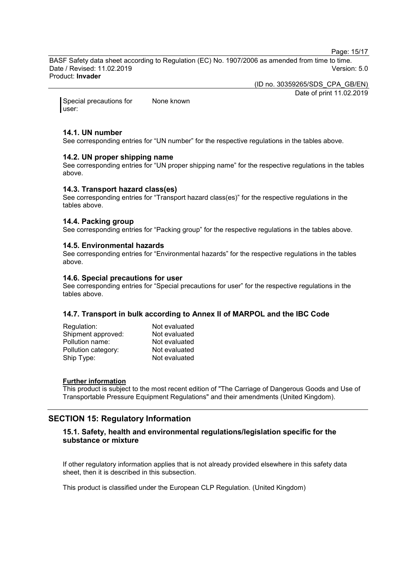Page: 15/17

BASF Safety data sheet according to Regulation (EC) No. 1907/2006 as amended from time to time. Date / Revised: 11.02.2019 Version: 5.0 Product: **Invader**

(ID no. 30359265/SDS\_CPA\_GB/EN)

Date of print 11.02.2019

Special precautions for user: None known

#### **14.1. UN number**

See corresponding entries for "UN number" for the respective regulations in the tables above.

## **14.2. UN proper shipping name**

See corresponding entries for "UN proper shipping name" for the respective regulations in the tables above.

#### **14.3. Transport hazard class(es)**

See corresponding entries for "Transport hazard class(es)" for the respective regulations in the tables above.

#### **14.4. Packing group**

See corresponding entries for "Packing group" for the respective regulations in the tables above.

#### **14.5. Environmental hazards**

See corresponding entries for "Environmental hazards" for the respective regulations in the tables above.

#### **14.6. Special precautions for user**

See corresponding entries for "Special precautions for user" for the respective regulations in the tables above.

## **14.7. Transport in bulk according to Annex II of MARPOL and the IBC Code**

| Regulation:         | Not evaluated |
|---------------------|---------------|
| Shipment approved:  | Not evaluated |
| Pollution name:     | Not evaluated |
| Pollution category: | Not evaluated |
| Ship Type:          | Not evaluated |

#### **Further information**

This product is subject to the most recent edition of "The Carriage of Dangerous Goods and Use of Transportable Pressure Equipment Regulations" and their amendments (United Kingdom).

# **SECTION 15: Regulatory Information**

## **15.1. Safety, health and environmental regulations/legislation specific for the substance or mixture**

If other regulatory information applies that is not already provided elsewhere in this safety data sheet, then it is described in this subsection.

This product is classified under the European CLP Regulation. (United Kingdom)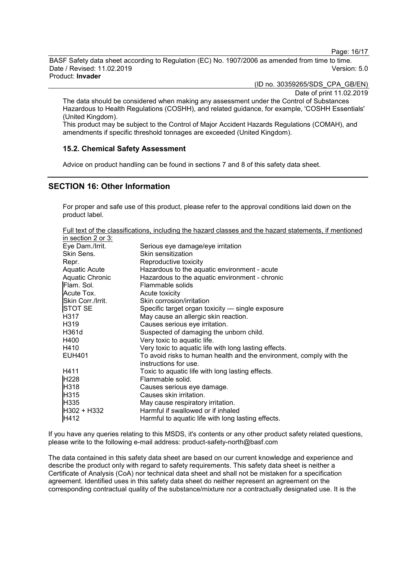Page: 16/17

BASF Safety data sheet according to Regulation (EC) No. 1907/2006 as amended from time to time. Date / Revised: 11.02.2019 Version: 5.0 Product: **Invader**

(ID no. 30359265/SDS\_CPA\_GB/EN)

Date of print 11.02.2019

The data should be considered when making any assessment under the Control of Substances Hazardous to Health Regulations (COSHH), and related guidance, for example, 'COSHH Essentials' (United Kingdom).

This product may be subject to the Control of Major Accident Hazards Regulations (COMAH), and amendments if specific threshold tonnages are exceeded (United Kingdom).

## **15.2. Chemical Safety Assessment**

Advice on product handling can be found in sections 7 and 8 of this safety data sheet.

## **SECTION 16: Other Information**

For proper and safe use of this product, please refer to the approval conditions laid down on the product label.

Full text of the classifications, including the hazard classes and the hazard statements, if mentioned

| in section 2 or 3: |                                                                     |
|--------------------|---------------------------------------------------------------------|
| Eye Dam./Irrit.    | Serious eye damage/eye irritation                                   |
| Skin Sens.         | Skin sensitization                                                  |
| Repr.              | Reproductive toxicity                                               |
| Aquatic Acute      | Hazardous to the aquatic environment - acute                        |
| Aquatic Chronic    | Hazardous to the aquatic environment - chronic                      |
| Flam. Sol.         | Flammable solids                                                    |
| Acute Tox.         | Acute toxicity                                                      |
| Skin Corr./Irrit.  | Skin corrosion/irritation                                           |
| <b>STOT SE</b>     | Specific target organ toxicity - single exposure                    |
| H317               | May cause an allergic skin reaction.                                |
| H319               | Causes serious eye irritation.                                      |
| H361d              | Suspected of damaging the unborn child.                             |
| H400               | Very toxic to aquatic life.                                         |
| H410               | Very toxic to aquatic life with long lasting effects.               |
| <b>EUH401</b>      | To avoid risks to human health and the environment, comply with the |
|                    | instructions for use.                                               |
| H411               | Toxic to aquatic life with long lasting effects.                    |
| H <sub>228</sub>   | Flammable solid.                                                    |
| H318               | Causes serious eye damage.                                          |
| H315               | Causes skin irritation.                                             |
| H335               | May cause respiratory irritation.                                   |
| H302 + H332        | Harmful if swallowed or if inhaled                                  |
| H412               | Harmful to aquatic life with long lasting effects.                  |

If you have any queries relating to this MSDS, it's contents or any other product safety related questions, please write to the following e-mail address: product-safety-north@basf.com

The data contained in this safety data sheet are based on our current knowledge and experience and describe the product only with regard to safety requirements. This safety data sheet is neither a Certificate of Analysis (CoA) nor technical data sheet and shall not be mistaken for a specification agreement. Identified uses in this safety data sheet do neither represent an agreement on the corresponding contractual quality of the substance/mixture nor a contractually designated use. It is the